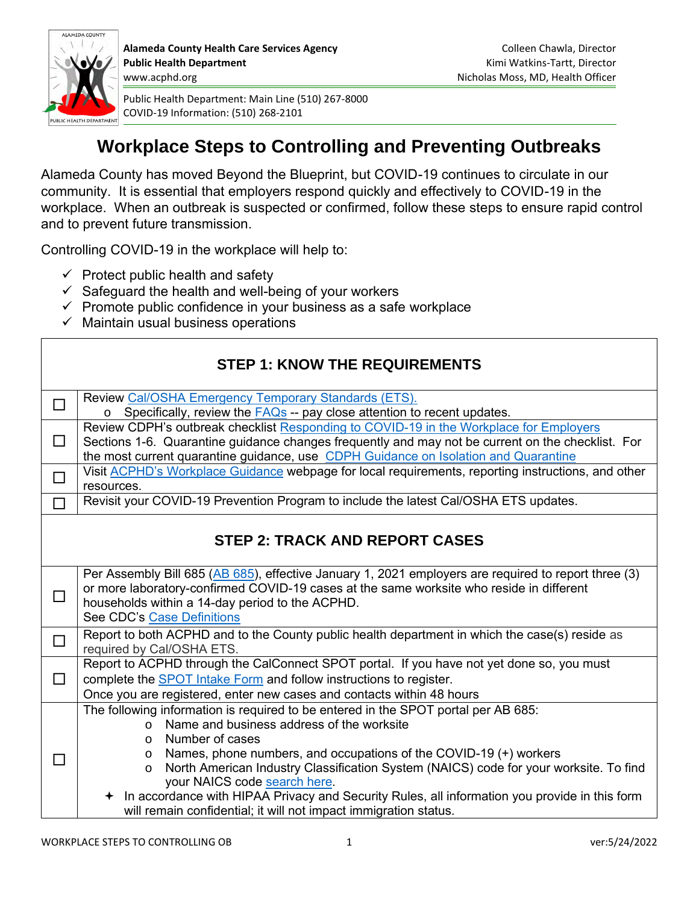

# **Workplace Steps to Controlling and Preventing Outbreaks**

Alameda County has moved Beyond the Blueprint, but COVID-19 continues to circulate in our community. It is essential that employers respond quickly and effectively to COVID-19 in the workplace. When an outbreak is suspected or confirmed, follow these steps to ensure rapid control and to prevent future transmission.

Controlling COVID-19 in the workplace will help to:

- $\checkmark$  Protect public health and safety
- $\checkmark$  Safeguard the health and well-being of your workers
- $\checkmark$  Promote public confidence in your business as a safe workplace
- $\checkmark$  Maintain usual business operations

| <b>STEP 1: KNOW THE REQUIREMENTS</b>  |                                                                                                                                                                                                                                                                                                                                                                                                                                                                                                   |  |
|---------------------------------------|---------------------------------------------------------------------------------------------------------------------------------------------------------------------------------------------------------------------------------------------------------------------------------------------------------------------------------------------------------------------------------------------------------------------------------------------------------------------------------------------------|--|
| $\Box$                                | Review Cal/OSHA Emergency Temporary Standards (ETS).<br>$\circ$ Specifically, review the $FAQs$ -- pay close attention to recent updates.                                                                                                                                                                                                                                                                                                                                                         |  |
| $\Box$                                | Review CDPH's outbreak checklist Responding to COVID-19 in the Workplace for Employers<br>Sections 1-6. Quarantine guidance changes frequently and may not be current on the checklist. For<br>the most current quarantine guidance, use CDPH Guidance on Isolation and Quarantine                                                                                                                                                                                                                |  |
| $\Box$                                | Visit ACPHD's Workplace Guidance webpage for local requirements, reporting instructions, and other<br>resources.                                                                                                                                                                                                                                                                                                                                                                                  |  |
|                                       | Revisit your COVID-19 Prevention Program to include the latest Cal/OSHA ETS updates.                                                                                                                                                                                                                                                                                                                                                                                                              |  |
| <b>STEP 2: TRACK AND REPORT CASES</b> |                                                                                                                                                                                                                                                                                                                                                                                                                                                                                                   |  |
| $\Box$                                | Per Assembly Bill 685 (AB 685), effective January 1, 2021 employers are required to report three (3)<br>or more laboratory-confirmed COVID-19 cases at the same worksite who reside in different<br>households within a 14-day period to the ACPHD.<br>See CDC's Case Definitions                                                                                                                                                                                                                 |  |
| $\Box$                                | Report to both ACPHD and to the County public health department in which the case(s) reside as<br>required by Cal/OSHA ETS.                                                                                                                                                                                                                                                                                                                                                                       |  |
| П                                     | Report to ACPHD through the CalConnect SPOT portal. If you have not yet done so, you must<br>complete the <b>SPOT</b> Intake Form and follow instructions to register.<br>Once you are registered, enter new cases and contacts within 48 hours                                                                                                                                                                                                                                                   |  |
|                                       | The following information is required to be entered in the SPOT portal per AB 685:<br>Name and business address of the worksite<br>$\Omega$<br>Number of cases<br>$\Omega$<br>Names, phone numbers, and occupations of the COVID-19 (+) workers<br>$\circ$<br>North American Industry Classification System (NAICS) code for your worksite. To find<br>$\circ$<br>your NAICS code search here.<br>+ In accordance with HIPAA Privacy and Security Rules, all information you provide in this form |  |
|                                       | will remain confidential; it will not impact immigration status.                                                                                                                                                                                                                                                                                                                                                                                                                                  |  |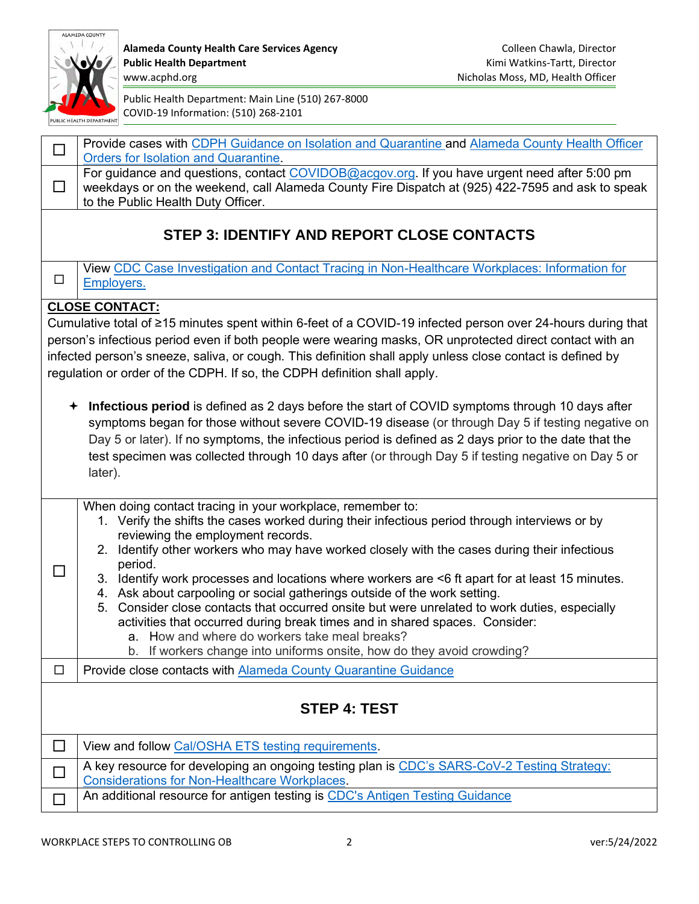

Alameda County Health Care Services Agency **Colleen Chawla, Director** Colleen Chawla, Director Public Health Department **Public Health Department Kimi Watkins-Tartt, Director** 

| $\Box$                                                                                                                                                                                                                                                                                                                                                                                                            | Provide cases with CDPH Guidance on Isolation and Quarantine and Alameda County Health Officer<br><b>Orders for Isolation and Quarantine.</b>                                                                                                                                                                                                                                                                                                                                                                                                                                                                                                                                                                                                                                                          |  |
|-------------------------------------------------------------------------------------------------------------------------------------------------------------------------------------------------------------------------------------------------------------------------------------------------------------------------------------------------------------------------------------------------------------------|--------------------------------------------------------------------------------------------------------------------------------------------------------------------------------------------------------------------------------------------------------------------------------------------------------------------------------------------------------------------------------------------------------------------------------------------------------------------------------------------------------------------------------------------------------------------------------------------------------------------------------------------------------------------------------------------------------------------------------------------------------------------------------------------------------|--|
| $\Box$                                                                                                                                                                                                                                                                                                                                                                                                            | For guidance and questions, contact COVIDOB@acgov.org. If you have urgent need after 5:00 pm<br>weekdays or on the weekend, call Alameda County Fire Dispatch at (925) 422-7595 and ask to speak<br>to the Public Health Duty Officer.                                                                                                                                                                                                                                                                                                                                                                                                                                                                                                                                                                 |  |
| <b>STEP 3: IDENTIFY AND REPORT CLOSE CONTACTS</b>                                                                                                                                                                                                                                                                                                                                                                 |                                                                                                                                                                                                                                                                                                                                                                                                                                                                                                                                                                                                                                                                                                                                                                                                        |  |
| □                                                                                                                                                                                                                                                                                                                                                                                                                 | View CDC Case Investigation and Contact Tracing in Non-Healthcare Workplaces: Information for<br>Employers.                                                                                                                                                                                                                                                                                                                                                                                                                                                                                                                                                                                                                                                                                            |  |
|                                                                                                                                                                                                                                                                                                                                                                                                                   | <b>CLOSE CONTACT:</b>                                                                                                                                                                                                                                                                                                                                                                                                                                                                                                                                                                                                                                                                                                                                                                                  |  |
| Cumulative total of ≥15 minutes spent within 6-feet of a COVID-19 infected person over 24-hours during that<br>person's infectious period even if both people were wearing masks, OR unprotected direct contact with an<br>infected person's sneeze, saliva, or cough. This definition shall apply unless close contact is defined by<br>regulation or order of the CDPH. If so, the CDPH definition shall apply. |                                                                                                                                                                                                                                                                                                                                                                                                                                                                                                                                                                                                                                                                                                                                                                                                        |  |
| $\bigstar$                                                                                                                                                                                                                                                                                                                                                                                                        | Infectious period is defined as 2 days before the start of COVID symptoms through 10 days after<br>symptoms began for those without severe COVID-19 disease (or through Day 5 if testing negative on<br>Day 5 or later). If no symptoms, the infectious period is defined as 2 days prior to the date that the<br>test specimen was collected through 10 days after (or through Day 5 if testing negative on Day 5 or<br>later).                                                                                                                                                                                                                                                                                                                                                                       |  |
| $\Box$                                                                                                                                                                                                                                                                                                                                                                                                            | When doing contact tracing in your workplace, remember to:<br>1. Verify the shifts the cases worked during their infectious period through interviews or by<br>reviewing the employment records.<br>2. Identify other workers who may have worked closely with the cases during their infectious<br>period.<br>3. Identify work processes and locations where workers are <6 ft apart for at least 15 minutes.<br>4. Ask about carpooling or social gatherings outside of the work setting.<br>5. Consider close contacts that occurred onsite but were unrelated to work duties, especially<br>activities that occurred during break times and in shared spaces. Consider:<br>a. How and where do workers take meal breaks?<br>b. If workers change into uniforms onsite, how do they avoid crowding? |  |
| □                                                                                                                                                                                                                                                                                                                                                                                                                 | Provide close contacts with Alameda County Quarantine Guidance                                                                                                                                                                                                                                                                                                                                                                                                                                                                                                                                                                                                                                                                                                                                         |  |
| <b>STEP 4: TEST</b>                                                                                                                                                                                                                                                                                                                                                                                               |                                                                                                                                                                                                                                                                                                                                                                                                                                                                                                                                                                                                                                                                                                                                                                                                        |  |
| □                                                                                                                                                                                                                                                                                                                                                                                                                 | View and follow Cal/OSHA ETS testing requirements.                                                                                                                                                                                                                                                                                                                                                                                                                                                                                                                                                                                                                                                                                                                                                     |  |
| $\Box$                                                                                                                                                                                                                                                                                                                                                                                                            | A key resource for developing an ongoing testing plan is CDC's SARS-CoV-2 Testing Strategy:<br><b>Considerations for Non-Healthcare Workplaces</b>                                                                                                                                                                                                                                                                                                                                                                                                                                                                                                                                                                                                                                                     |  |
| $\Box$                                                                                                                                                                                                                                                                                                                                                                                                            | An additional resource for antigen testing is CDC's Antigen Testing Guidance                                                                                                                                                                                                                                                                                                                                                                                                                                                                                                                                                                                                                                                                                                                           |  |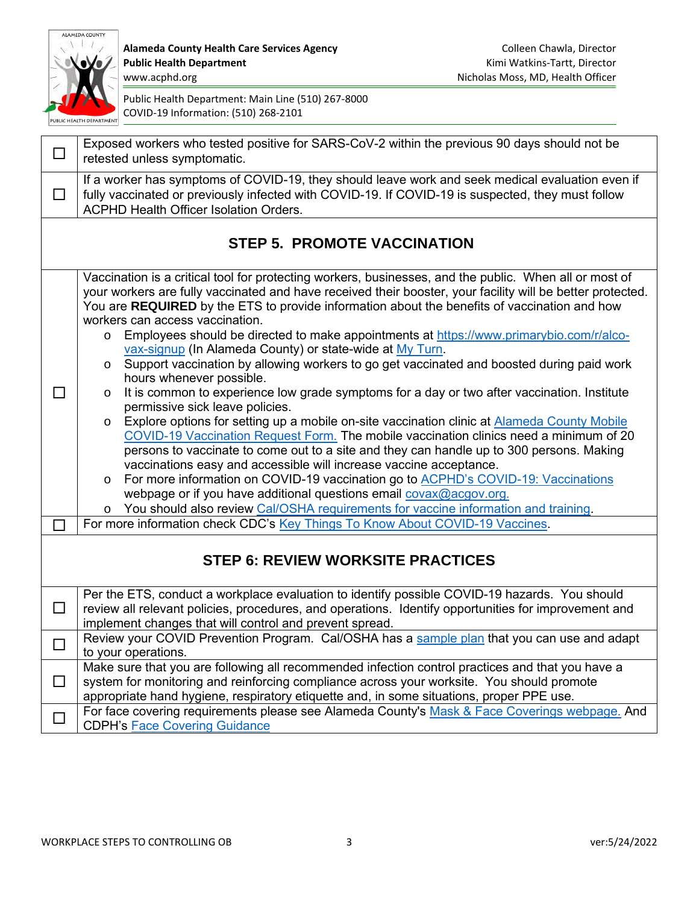

Alameda County Health Care Services Agency **Colleen Chawla, Director** Colleen Chawla, Director Public Health Department **Public Health Department Kimi Watkins-Tartt, Director** 

| ⊔                                        | Exposed workers who tested positive for SARS-CoV-2 within the previous 90 days should not be<br>retested unless symptomatic.                                                                                                                                                                                                                                                                                                                                                                                                                                                                                                                                                                                                                                                                                                                                                                                                                                                                                                                                                                                                                                                                                                                                                                                                                                                                                                           |  |  |
|------------------------------------------|----------------------------------------------------------------------------------------------------------------------------------------------------------------------------------------------------------------------------------------------------------------------------------------------------------------------------------------------------------------------------------------------------------------------------------------------------------------------------------------------------------------------------------------------------------------------------------------------------------------------------------------------------------------------------------------------------------------------------------------------------------------------------------------------------------------------------------------------------------------------------------------------------------------------------------------------------------------------------------------------------------------------------------------------------------------------------------------------------------------------------------------------------------------------------------------------------------------------------------------------------------------------------------------------------------------------------------------------------------------------------------------------------------------------------------------|--|--|
| □                                        | If a worker has symptoms of COVID-19, they should leave work and seek medical evaluation even if<br>fully vaccinated or previously infected with COVID-19. If COVID-19 is suspected, they must follow<br><b>ACPHD Health Officer Isolation Orders.</b>                                                                                                                                                                                                                                                                                                                                                                                                                                                                                                                                                                                                                                                                                                                                                                                                                                                                                                                                                                                                                                                                                                                                                                                 |  |  |
| <b>STEP 5. PROMOTE VACCINATION</b>       |                                                                                                                                                                                                                                                                                                                                                                                                                                                                                                                                                                                                                                                                                                                                                                                                                                                                                                                                                                                                                                                                                                                                                                                                                                                                                                                                                                                                                                        |  |  |
|                                          | Vaccination is a critical tool for protecting workers, businesses, and the public. When all or most of<br>your workers are fully vaccinated and have received their booster, your facility will be better protected.<br>You are REQUIRED by the ETS to provide information about the benefits of vaccination and how<br>workers can access vaccination.<br>Employees should be directed to make appointments at https://www.primarybio.com/r/alco-<br>$\circ$<br>vax-signup (In Alameda County) or state-wide at My Turn.<br>Support vaccination by allowing workers to go get vaccinated and boosted during paid work<br>$\circ$<br>hours whenever possible.<br>It is common to experience low grade symptoms for a day or two after vaccination. Institute<br>$\circ$<br>permissive sick leave policies.<br>Explore options for setting up a mobile on-site vaccination clinic at Alameda County Mobile<br>$\circ$<br>COVID-19 Vaccination Request Form. The mobile vaccination clinics need a minimum of 20<br>persons to vaccinate to come out to a site and they can handle up to 300 persons. Making<br>vaccinations easy and accessible will increase vaccine acceptance.<br>For more information on COVID-19 vaccination go to ACPHD's COVID-19: Vaccinations<br>O<br>webpage or if you have additional questions email covax@acgov.org.<br>You should also review Cal/OSHA requirements for vaccine information and training. |  |  |
|                                          | For more information check CDC's Key Things To Know About COVID-19 Vaccines.                                                                                                                                                                                                                                                                                                                                                                                                                                                                                                                                                                                                                                                                                                                                                                                                                                                                                                                                                                                                                                                                                                                                                                                                                                                                                                                                                           |  |  |
| <b>STEP 6: REVIEW WORKSITE PRACTICES</b> |                                                                                                                                                                                                                                                                                                                                                                                                                                                                                                                                                                                                                                                                                                                                                                                                                                                                                                                                                                                                                                                                                                                                                                                                                                                                                                                                                                                                                                        |  |  |
| $\Box$                                   | Per the ETS, conduct a workplace evaluation to identify possible COVID-19 hazards. You should<br>review all relevant policies, procedures, and operations. Identify opportunities for improvement and<br>implement changes that will control and prevent spread.                                                                                                                                                                                                                                                                                                                                                                                                                                                                                                                                                                                                                                                                                                                                                                                                                                                                                                                                                                                                                                                                                                                                                                       |  |  |
|                                          | Review your COVID Prevention Program. Cal/OSHA has a sample plan that you can use and adapt<br>to your operations.                                                                                                                                                                                                                                                                                                                                                                                                                                                                                                                                                                                                                                                                                                                                                                                                                                                                                                                                                                                                                                                                                                                                                                                                                                                                                                                     |  |  |
| ⊔                                        | Make sure that you are following all recommended infection control practices and that you have a<br>system for monitoring and reinforcing compliance across your worksite. You should promote<br>appropriate hand hygiene, respiratory etiquette and, in some situations, proper PPE use.                                                                                                                                                                                                                                                                                                                                                                                                                                                                                                                                                                                                                                                                                                                                                                                                                                                                                                                                                                                                                                                                                                                                              |  |  |
| ப                                        | For face covering requirements please see Alameda County's Mask & Face Coverings webpage. And<br><b>CDPH's Face Covering Guidance</b>                                                                                                                                                                                                                                                                                                                                                                                                                                                                                                                                                                                                                                                                                                                                                                                                                                                                                                                                                                                                                                                                                                                                                                                                                                                                                                  |  |  |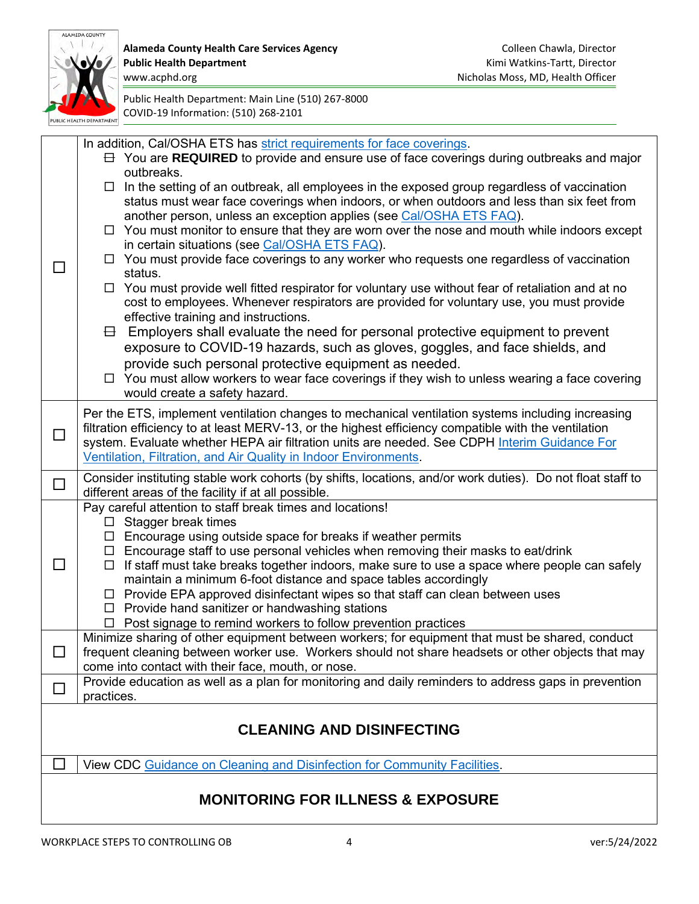

|                                              | In addition, Cal/OSHA ETS has strict requirements for face coverings.<br>$\exists$ You are REQUIRED to provide and ensure use of face coverings during outbreaks and major<br>outbreaks.                                                                                                                                                                                                                                                                                                                                                                                                                                                                                                                                                                                                                                                                                                                                                                                                                                                                                                                                                                          |  |  |
|----------------------------------------------|-------------------------------------------------------------------------------------------------------------------------------------------------------------------------------------------------------------------------------------------------------------------------------------------------------------------------------------------------------------------------------------------------------------------------------------------------------------------------------------------------------------------------------------------------------------------------------------------------------------------------------------------------------------------------------------------------------------------------------------------------------------------------------------------------------------------------------------------------------------------------------------------------------------------------------------------------------------------------------------------------------------------------------------------------------------------------------------------------------------------------------------------------------------------|--|--|
|                                              | $\Box$ In the setting of an outbreak, all employees in the exposed group regardless of vaccination<br>status must wear face coverings when indoors, or when outdoors and less than six feet from<br>another person, unless an exception applies (see Cal/OSHA ETS FAQ).<br>$\Box$ You must monitor to ensure that they are worn over the nose and mouth while indoors except<br>in certain situations (see Cal/OSHA ETS FAQ).<br>$\Box$ You must provide face coverings to any worker who requests one regardless of vaccination<br>status.<br>$\Box$ You must provide well fitted respirator for voluntary use without fear of retaliation and at no<br>cost to employees. Whenever respirators are provided for voluntary use, you must provide<br>effective training and instructions.<br>Employers shall evaluate the need for personal protective equipment to prevent<br>8<br>exposure to COVID-19 hazards, such as gloves, goggles, and face shields, and<br>provide such personal protective equipment as needed.<br>$\Box$ You must allow workers to wear face coverings if they wish to unless wearing a face covering<br>would create a safety hazard. |  |  |
| □                                            | Per the ETS, implement ventilation changes to mechanical ventilation systems including increasing<br>filtration efficiency to at least MERV-13, or the highest efficiency compatible with the ventilation<br>system. Evaluate whether HEPA air filtration units are needed. See CDPH Interim Guidance For<br>Ventilation, Filtration, and Air Quality in Indoor Environments.                                                                                                                                                                                                                                                                                                                                                                                                                                                                                                                                                                                                                                                                                                                                                                                     |  |  |
| $\Box$                                       | Consider instituting stable work cohorts (by shifts, locations, and/or work duties). Do not float staff to<br>different areas of the facility if at all possible.                                                                                                                                                                                                                                                                                                                                                                                                                                                                                                                                                                                                                                                                                                                                                                                                                                                                                                                                                                                                 |  |  |
| $\Box$                                       | Pay careful attention to staff break times and locations!<br>$\Box$ Stagger break times<br>$\Box$ Encourage using outside space for breaks if weather permits<br>$\Box$ Encourage staff to use personal vehicles when removing their masks to eat/drink<br>$\Box$ If staff must take breaks together indoors, make sure to use a space where people can safely<br>maintain a minimum 6-foot distance and space tables accordingly<br>$\Box$ Provide EPA approved disinfectant wipes so that staff can clean between uses<br>$\Box$ Provide hand sanitizer or handwashing stations<br>$\Box$ Post signage to remind workers to follow prevention practices                                                                                                                                                                                                                                                                                                                                                                                                                                                                                                         |  |  |
|                                              | Minimize sharing of other equipment between workers; for equipment that must be shared, conduct<br>frequent cleaning between worker use. Workers should not share headsets or other objects that may<br>come into contact with their face, mouth, or nose.                                                                                                                                                                                                                                                                                                                                                                                                                                                                                                                                                                                                                                                                                                                                                                                                                                                                                                        |  |  |
|                                              | Provide education as well as a plan for monitoring and daily reminders to address gaps in prevention<br>practices.                                                                                                                                                                                                                                                                                                                                                                                                                                                                                                                                                                                                                                                                                                                                                                                                                                                                                                                                                                                                                                                |  |  |
| <b>CLEANING AND DISINFECTING</b>             |                                                                                                                                                                                                                                                                                                                                                                                                                                                                                                                                                                                                                                                                                                                                                                                                                                                                                                                                                                                                                                                                                                                                                                   |  |  |
|                                              | View CDC Guidance on Cleaning and Disinfection for Community Facilities.                                                                                                                                                                                                                                                                                                                                                                                                                                                                                                                                                                                                                                                                                                                                                                                                                                                                                                                                                                                                                                                                                          |  |  |
| <b>MONITORING FOR ILLNESS &amp; EXPOSURE</b> |                                                                                                                                                                                                                                                                                                                                                                                                                                                                                                                                                                                                                                                                                                                                                                                                                                                                                                                                                                                                                                                                                                                                                                   |  |  |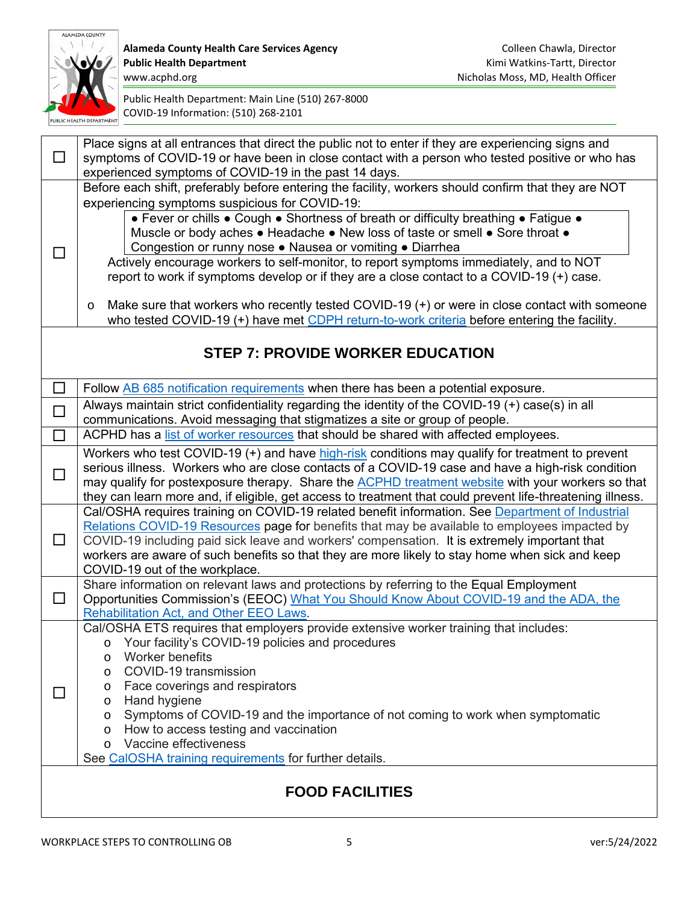

Alameda County Health Care Services Agency **Colleen Chawla, Director** Colleen Chawla, Director Public Health Department **Public Health Department Kimi Watkins-Tartt, Director** 

| □                      | Place signs at all entrances that direct the public not to enter if they are experiencing signs and<br>symptoms of COVID-19 or have been in close contact with a person who tested positive or who has<br>experienced symptoms of COVID-19 in the past 14 days. |  |
|------------------------|-----------------------------------------------------------------------------------------------------------------------------------------------------------------------------------------------------------------------------------------------------------------|--|
|                        | Before each shift, preferably before entering the facility, workers should confirm that they are NOT                                                                                                                                                            |  |
|                        | experiencing symptoms suspicious for COVID-19:                                                                                                                                                                                                                  |  |
|                        | • Fever or chills . Cough . Shortness of breath or difficulty breathing . Fatigue .                                                                                                                                                                             |  |
|                        | Muscle or body aches . Headache . New loss of taste or smell . Sore throat .<br>Congestion or runny nose . Nausea or vomiting . Diarrhea                                                                                                                        |  |
| ΙI                     | Actively encourage workers to self-monitor, to report symptoms immediately, and to NOT                                                                                                                                                                          |  |
|                        | report to work if symptoms develop or if they are a close contact to a COVID-19 (+) case.                                                                                                                                                                       |  |
|                        |                                                                                                                                                                                                                                                                 |  |
|                        | Make sure that workers who recently tested COVID-19 (+) or were in close contact with someone<br>$\circ$                                                                                                                                                        |  |
|                        | who tested COVID-19 (+) have met CDPH return-to-work criteria before entering the facility.                                                                                                                                                                     |  |
|                        | <b>STEP 7: PROVIDE WORKER EDUCATION</b>                                                                                                                                                                                                                         |  |
|                        |                                                                                                                                                                                                                                                                 |  |
| $\Box$                 | Follow AB 685 notification requirements when there has been a potential exposure.                                                                                                                                                                               |  |
| $\Box$                 | Always maintain strict confidentiality regarding the identity of the COVID-19 (+) case(s) in all                                                                                                                                                                |  |
|                        | communications. Avoid messaging that stigmatizes a site or group of people.                                                                                                                                                                                     |  |
| $\Box$                 | ACPHD has a list of worker resources that should be shared with affected employees.                                                                                                                                                                             |  |
|                        | Workers who test COVID-19 (+) and have high-risk conditions may qualify for treatment to prevent<br>serious illness. Workers who are close contacts of a COVID-19 case and have a high-risk condition                                                           |  |
| $\Box$                 | may qualify for postexposure therapy. Share the <b>ACPHD</b> treatment website with your workers so that                                                                                                                                                        |  |
|                        | they can learn more and, if eligible, get access to treatment that could prevent life-threatening illness.                                                                                                                                                      |  |
|                        | Cal/OSHA requires training on COVID-19 related benefit information. See Department of Industrial                                                                                                                                                                |  |
|                        | Relations COVID-19 Resources page for benefits that may be available to employees impacted by                                                                                                                                                                   |  |
| $\Box$                 | COVID-19 including paid sick leave and workers' compensation. It is extremely important that<br>workers are aware of such benefits so that they are more likely to stay home when sick and keep                                                                 |  |
|                        | COVID-19 out of the workplace.                                                                                                                                                                                                                                  |  |
|                        | Share information on relevant laws and protections by referring to the Equal Employment                                                                                                                                                                         |  |
| □                      | Opportunities Commission's (EEOC) What You Should Know About COVID-19 and the ADA, the                                                                                                                                                                          |  |
|                        | <b>Rehabilitation Act, and Other EEO Laws.</b><br>Cal/OSHA ETS requires that employers provide extensive worker training that includes:                                                                                                                         |  |
|                        | Your facility's COVID-19 policies and procedures<br>$\circ$                                                                                                                                                                                                     |  |
|                        | Worker benefits<br>$\circ$                                                                                                                                                                                                                                      |  |
|                        | COVID-19 transmission<br>$\circ$                                                                                                                                                                                                                                |  |
| $\Box$                 | Face coverings and respirators<br>$\circ$                                                                                                                                                                                                                       |  |
|                        | Hand hygiene<br>$\circ$<br>Symptoms of COVID-19 and the importance of not coming to work when symptomatic                                                                                                                                                       |  |
|                        | $\circ$<br>How to access testing and vaccination<br>$\circ$                                                                                                                                                                                                     |  |
|                        | Vaccine effectiveness<br>$\circ$                                                                                                                                                                                                                                |  |
|                        | See CalOSHA training requirements for further details.                                                                                                                                                                                                          |  |
| <b>FOOD FACILITIES</b> |                                                                                                                                                                                                                                                                 |  |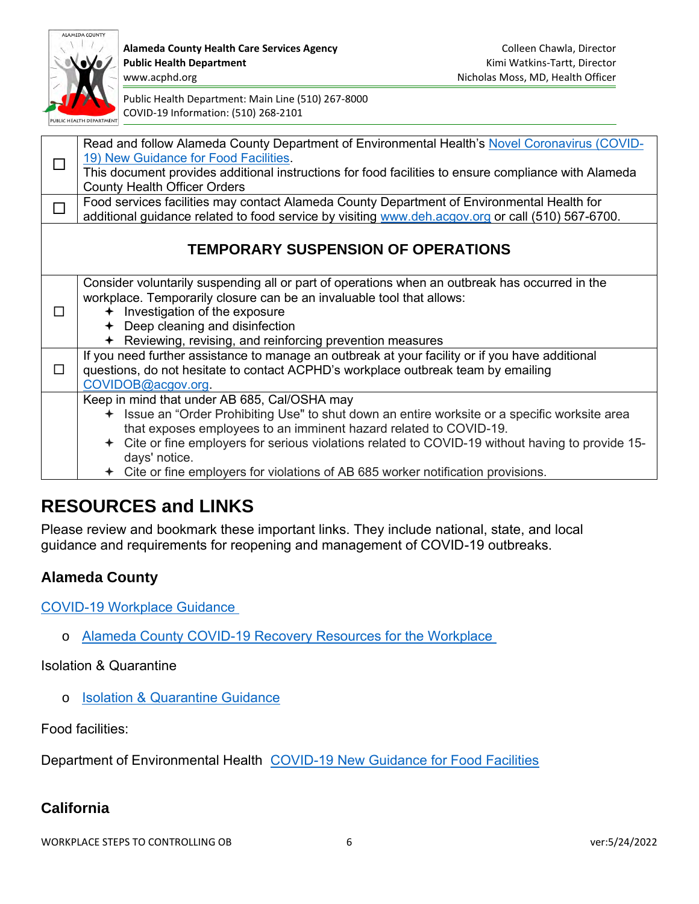

**Alameda County Health Care Services Agency Colleen Chawla, Director Colleen Chawla, Director Public Health Department** Kimi Watkins-Tartt, Director www.acphd.org Nicholas Moss, MD, Health Officer

Public Health Department: Main Line (510) 267-8000 COVID-19 Information: (510) 268-2101

|   | Read and follow Alameda County Department of Environmental Health's Novel Coronavirus (COVID-<br>19) New Guidance for Food Facilities.                                                          |
|---|-------------------------------------------------------------------------------------------------------------------------------------------------------------------------------------------------|
|   | This document provides additional instructions for food facilities to ensure compliance with Alameda<br><b>County Health Officer Orders</b>                                                     |
|   | Food services facilities may contact Alameda County Department of Environmental Health for<br>additional guidance related to food service by visiting www.deh.acgov.org or call (510) 567-6700. |
|   |                                                                                                                                                                                                 |
|   | <b>TEMPORARY SUSPENSION OF OPERATIONS</b>                                                                                                                                                       |
|   | Consider voluntarily suspending all or part of operations when an outbreak has occurred in the<br>workplace. Temporarily closure can be an invaluable tool that allows:                         |
| П | + Investigation of the exposure                                                                                                                                                                 |
|   | Deep cleaning and disinfection                                                                                                                                                                  |
|   | $\div$ Reviewing, revising, and reinforcing prevention measures                                                                                                                                 |
| П | If you need further assistance to manage an outbreak at your facility or if you have additional<br>questions, do not hesitate to contact ACPHD's workplace outbreak team by emailing            |
|   | COVIDOB@acgov.org.                                                                                                                                                                              |
|   | Keep in mind that under AB 685, Cal/OSHA may                                                                                                                                                    |
|   | + Issue an "Order Prohibiting Use" to shut down an entire worksite or a specific worksite area                                                                                                  |
|   | that exposes employees to an imminent hazard related to COVID-19.                                                                                                                               |
|   | + Cite or fine employers for serious violations related to COVID-19 without having to provide 15-                                                                                               |
|   | days' notice.<br>Cite or fine employers for violations of AB 685 worker notification provisions.                                                                                                |
|   |                                                                                                                                                                                                 |

# **RESOURCES and LINKS**

Please review and bookmark these important links. They include national, state, and local guidance and requirements for reopening and management of COVID-19 outbreaks.

## **Alameda County**

[COVID-19 Workplace Guidance](https://covid-19.acgov.org/recovery)

o [Alameda County COVID-19 Recovery Resources for the Workplace](https://covid-19.acgov.org/recovery#:~:text=my%20workplace%E2%80%99s%20ventilation%3F-,Workplace%20Resources,-What%20general%20resources)

### Isolation & Quarantine

o [Isolation & Quarantine Guidance](https://covid-19.acgov.org/isolation-quarantine#1595784429592-title1) 

Food facilities:

Department of Environmental Health [COVID-19 New Guidance for Food Facilities](https://deh.acgov.org/covid-19.page?) 

## **California**

WORKPLACE STEPS TO CONTROLLING OB 6 0 0 0 1 1 2 3 4 4 5 6 2 2 3 4 4 3 4 3 4 6 3 3 4 4 3 4 3 4 6 3 4 7 8 4 4 3 4 4 7 8 4 7 8 4 7 8 4 7 8 4 7 8 4 7 8 4 7 8 4 7 8 4 7 8 4 7 8 4 7 8 4 7 8 4 7 8 4 7 8 4 7 8 4 7 8 4 7 8 4 7 8 4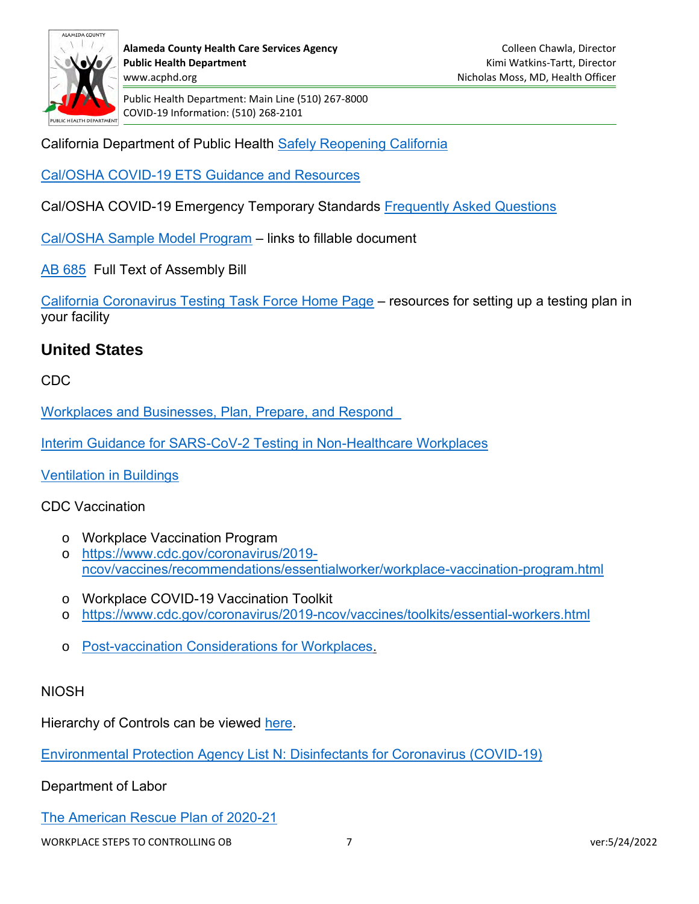

California Department of Public Health [Safely Reopening California](https://covid19.ca.gov/safely-reopening/#:~:text=Thanks%20to%20your%20trust%20in,tiers%2C%20and%20relaxed%20mask%20guidance.) 

Cal/OSHA COVID-19 ETS [Guidance and Resources](https://www.dir.ca.gov/dosh/coronavirus/ETS.html)

Cal/OSHA COVID-19 Emergency Temporary Standards [Frequently Asked Questions](https://www.dir.ca.gov/dosh/coronavirus/ETS.html)

[Cal/OSHA Sample Model Program](https://www.dir.ca.gov/dosh/coronavirus/ETS.html#:~:text=COVID%2D19%20Model%20Written%20Program) – links to fillable document

[AB 685](https://leginfo.legislature.ca.gov/faces/billTextClient.xhtml?bill_id=201920200AB685) Full Text of Assembly Bill

[California Coronavirus Testing](https://testing.covid19.ca.gov/testing-resources/) Task Force Home Page – resources for setting up a testing plan in your facility

### **United States**

CDC

[Workplaces and Businesses, Plan, Prepare, and Respond](https://www.cdc.gov/coronavirus/2019-ncov/community/index.html) 

[Interim Guidance for SARS-CoV-2 Testing in Non-Healthcare Workplaces](https://www.cdc.gov/coronavirus/2019-ncov/community/organizations/testing-non-healthcare-workplaces.html)

[Ventilation in Buildings](https://www.cdc.gov/coronavirus/2019-ncov/community/ventilation.html)

#### CDC Vaccination

- o Workplace Vaccination Program
- o [https://www.cdc.gov/coronavirus/2019](https://www.cdc.gov/coronavirus/2019-ncov/vaccines/recommendations/essentialworker/workplace-vaccination-program.html) [ncov/vaccines/recommendations/essentialworker/workplace-vaccination-program.html](https://www.cdc.gov/coronavirus/2019-ncov/vaccines/recommendations/essentialworker/workplace-vaccination-program.html)
- o Workplace COVID-19 Vaccination Toolkit
- o <https://www.cdc.gov/coronavirus/2019-ncov/vaccines/toolkits/essential-workers.html>
- o [Post-vaccination Considerations for Workplaces.](https://www.cdc.gov/coronavirus/2019-ncov/community/workplaces-businesses/vaccination-considerations-for-workplaces.html)

#### **NIOSH**

Hierarchy of Controls can be viewed [here.](https://www.cdc.gov/niosh/topics/hierarchy/default.html)

[Environmental Protection Agency List N: Disinfectants for Coronavirus \(COVID-19\)](https://www.epa.gov/coronavirus/about-list-n-disinfectants-coronavirus-covid-19-0)

Department of Labor

[The American Rescue Plan of 2020-21](https://www.dol.gov/general/american-rescue-plan)

WORKPLACE STEPS TO CONTROLLING OB  $\overline{7}$  7 ver:5/24/2022